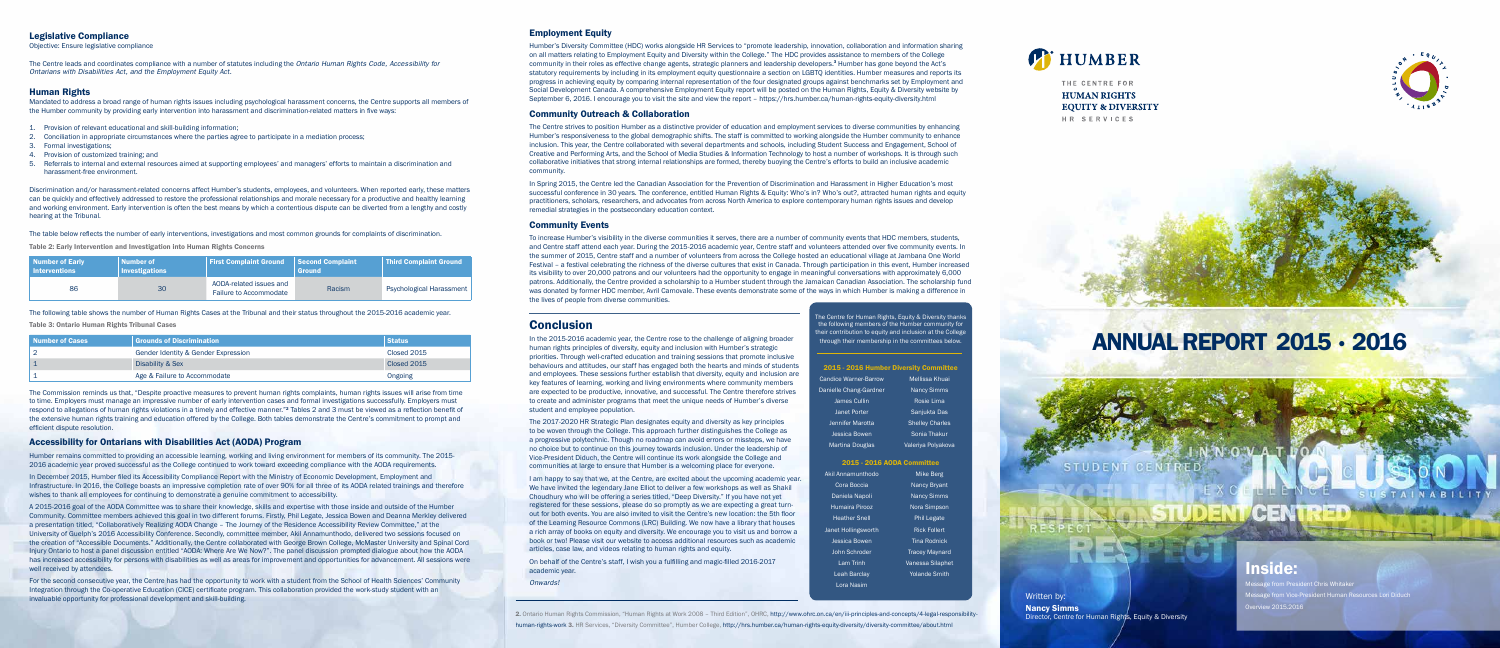# ANNUAL REPORT 2015 • 2016

Written by: Nancy Simms Director, Centre for Human Rights, Equity & Diversity

STUDEN

## Inside:

Message from President Chris Whitaker lessage from Vice-President Human Resources Lori Diduch Overview 2015.2016



#### Legislative Compliance

Objective: Ensure legislative compliance

The Centre leads and coordinates compliance with a number of statutes including the *Ontario Human Rights Code, Accessibility for Ontarians with Disabilities Act, and the Employment Equity Act.*

#### Human Rights

Mandated to address a broad range of human rights issues including psychological harassment concerns, the Centre supports all members of the Humber community by providing early intervention into harassment and discrimination-related matters in five ways:

- 1. Provision of relevant educational and skill-building information;
- 2. Conciliation in appropriate circumstances where the parties agree to participate in a mediation process;
- 3. Formal investigations;
- 4. Provision of customized training; and
- 5. Referrals to internal and external resources aimed at supporting employees' and managers' efforts to maintain a discrimination and harassment-free environment.

Discrimination and/or harassment-related concerns affect Humber's students, employees, and volunteers. When reported early, these matters can be quickly and effectively addressed to restore the professional relationships and morale necessary for a productive and healthy learning and working environment. Early intervention is often the best means by which a contentious dispute can be diverted from a lengthy and costly hearing at the Tribunal.

The table below reflects the number of early interventions, investigations and most common grounds for complaints of discrimination.

Table 2: Early Intervention and Investigation into Human Rights Concerns

| Number of Early<br><b>Interventions</b> | <b>Number of</b><br>Investigations | <b>First Complaint Ground</b>                            | <b>Second Complaint</b><br><b>Ground</b> | <b>Third Complaint Ground</b>   |
|-----------------------------------------|------------------------------------|----------------------------------------------------------|------------------------------------------|---------------------------------|
| 86                                      | 30                                 | AODA-related issues and<br><b>Failure to Accommodate</b> | Racism                                   | <b>Psychological Harassment</b> |

The following table shows the number of Human Rights Cases at the Tribunal and their status throughout the 2015-2016 academic year.

Table 3: Ontario Human Rights Tribunal Cases

| Number of Cases | <b>Grounds of Discrimination</b>    | <b>Status</b> |
|-----------------|-------------------------------------|---------------|
|                 | Gender Identity & Gender Expression | Closed 2015   |
|                 | Disability & Sex                    | Closed 2015   |
|                 | Age & Failure to Accommodate        | Ongoing       |

The Commission reminds us that, "Despite proactive measures to prevent human rights complaints, human rights issues will arise from time to time. Employers must manage an impressive number of early intervention cases and formal investigations successfully. Employers must respond to allegations of human rights violations in a timely and effective manner."<sup>2</sup> Tables 2 and 3 must be viewed as a reflection benefit of the extensive human rights training and education offered by the College. Both tables demonstrate the Centre's commitment to prompt and efficient dispute resolution.

#### Accessibility for Ontarians with Disabilities Act (AODA) Program

Humber remains committed to providing an accessible learning, working and living environment for members of its community. The 2015- 2016 academic year proved successful as the College continued to work toward exceeding compliance with the AODA requirements.

In December 2015, Humber filed its Accessibility Compliance Report with the Ministry of Economic Development, Employment and Infrastructure. In 2016, the College boasts an impressive completion rate of over 90% for all three of its AODA related trainings and therefore wishes to thank all employees for continuing to demonstrate a genuine commitment to accessibility.

A 2015-2016 goal of the AODA Committee was to share their knowledge, skills and expertise with those inside and outside of the Humber Community. Committee members achieved this goal in two different forums. Firstly, Phil Legate, Jessica Bowen and Deanna Merkley delivered a presentation titled, "Collaboratively Realizing AODA Change – The Journey of the Residence Accessibility Review Committee," at the University of Guelph's 2016 Accessibility Conference. Secondly, committee member, Akil Annamunthodo, delivered two sessions focused on the creation of "Accessible Documents." Additionally, the Centre collaborated with George Brown College, McMaster University and Spinal Cord Injury Ontario to host a panel discussion entitled "AODA: Where Are We Now?". The panel discussion prompted dialogue about how the AODA has increased accessibility for persons with disabilities as well as areas for improvement and opportunities for advancement. All sessions were well received by attendees.

For the second consecutive year, the Centre has had the opportunity to work with a student from the School of Health Sciences' Community Integration through the Co-operative Education (CICE) certificate program. This collaboration provided the work-study student with an invaluable opportunity for professional development and skill-building.

#### Employment Equity

The Centre for Human Rights, Equity & Diversity thanks the following members of the Humber community for their contribution to equity and inclusion at the College through their membership in the committees below.

#### 2015 - 2016 Humber Diversity Committe

Humber's Diversity Committee (HDC) works alongside HR Services to "promote leadership, innovation, collaboration and information sharing on all matters relating to Employment Equity and Diversity within the College." The HDC provides assistance to members of the College community in their roles as effective change agents, strategic planners and leadership developers.<sup>3</sup> Humber has gone beyond the Act's statutory requirements by including in its employment equity questionnaire a section on LGBTQ identities. Humber measures and reports its progress in achieving equity by comparing internal representation of the four designated groups against benchmarks set by Employment and Social Development Canada. A comprehensive Employment Equity report will be posted on the Human Rights, Equity & Diversity website by September 6, 2016. I encourage you to visit the site and view the report – https://hrs.humber.ca/human-rights-equity-diversity.html

#### Community Outreach & Collaboration

The Centre strives to position Humber as a distinctive provider of education and employment services to diverse communities by enhancing Humber's responsiveness to the global demographic shifts. The staff is committed to working alongside the Humber community to enhance inclusion. This year, the Centre collaborated with several departments and schools, including Student Success and Engagement, School of Creative and Performing Arts, and the School of Media Studies & Information Technology to host a number of workshops. It is through such collaborative initiatives that strong internal relationships are formed, thereby buoying the Centre's efforts to build an inclusive academic community.

In Spring 2015, the Centre led the Canadian Association for the Prevention of Discrimination and Harassment in Higher Education's most successful conference in 30 years. The conference, entitled Human Rights & Equity: Who's in? Who's out?, attracted human rights and equity practitioners, scholars, researchers, and advocates from across North America to explore contemporary human rights issues and develop remedial strategies in the postsecondary education context.

#### Community Events

To increase Humber's visibility in the diverse communities it serves, there are a number of community events that HDC members, students, and Centre staff attend each year. During the 2015-2016 academic year, Centre staff and volunteers attended over five community events. In the summer of 2015, Centre staff and a number of volunteers from across the College hosted an educational village at Jambana One World Festival – a festival celebrating the richness of the diverse cultures that exist in Canada. Through participation in this event, Humber increased its visibility to over 20,000 patrons and our volunteers had the opportunity to engage in meaningful conversations with approximately 6,000 patrons. Additionally, the Centre provided a scholarship to a Humber student through the Jamaican Canadian Association. The scholarship fund was donated by former HDC member, Avril Carnovale. These events demonstrate some of the ways in which Humber is making a difference in the lives of people from diverse communities.

### **Conclusion**

In the 2015-2016 academic year, the Centre rose to the challenge of aligning broader human rights principles of diversity, equity and inclusion with Humber's strategic priorities. Through well-crafted education and training sessions that promote inclusive behaviours and attitudes, our staff has engaged both the hearts and minds of students and employees. These sessions further establish that diversity, equity and inclusion are key features of learning, working and living environments where community members are expected to be productive, innovative, and successful. The Centre therefore strives to create and administer programs that meet the unique needs of Humber's diverse student and employee population.

The 2017-2020 HR Strategic Plan designates equity and diversity as key principles to be woven through the College. This approach further distinguishes the College as a progressive polytechnic. Though no roadmap can avoid errors or missteps, we have no choice but to continue on this journey towards inclusion. Under the leadership of Vice-President Diduch, the Centre will continue its work alongside the College and communities at large to ensure that Humber is a welcoming place for everyone.

I am happy to say that we, at the Centre, are excited about the upcoming academic year. We have invited the legendary Jane Elliot to deliver a few workshops as well as Shakil Choudhury who will be offering a series titled, "Deep Diversity." If you have not yet registered for these sessions, please do so promptly as we are expecting a great turnout for both events. You are also invited to visit the Centre's new location: the 5th floor of the Learning Resource Commons (LRC) Building. We now have a library that houses a rich array of books on equity and diversity. We encourage you to visit us and borrow a book or two! Please visit our website to access additional resources such as academic articles, case law, and videos relating to human rights and equity.

On behalf of the Centre's staff, I wish you a fulfilling and magic-filled 2016-2017 academic year.

*Onwards!*

| <b>Candice Warner-Barrow</b> | Mellissa Khuai         |  |
|------------------------------|------------------------|--|
| Danielle Chang-Gardner       | <b>Nancy Simms</b>     |  |
| James Cullin                 | Rosie Lima             |  |
| <b>Janet Porter</b>          | Sanjukta Das           |  |
| Jennifer Marotta             | <b>Shelley Charles</b> |  |
| <b>Jessica Bowen</b>         | Sonia Thakur           |  |
| <b>Martina Douglas</b>       | Valeriya Polyakova     |  |
|                              |                        |  |

#### 2015 - 2016 AODA Committee

| Akil Annamunthodo    | Mike Berg             |  |
|----------------------|-----------------------|--|
| Cora Boccia          | <b>Nancy Bryant</b>   |  |
| Daniela Napoli       | <b>Nancy Simms</b>    |  |
| Humaira Pirooz       | Nora Simpson          |  |
| <b>Heather Snell</b> | <b>Phil Legate</b>    |  |
| Janet Hollingsworth  | <b>Rick Follert</b>   |  |
| Jessica Bowen        | Tina Rodnick          |  |
| John Schroder        | <b>Tracey Maynard</b> |  |
| I am Trinh           | Vanessa Silaphet      |  |
| Leah Barclay         | <b>Yolande Smith</b>  |  |
| Lora Nasim           |                       |  |
|                      |                       |  |

**T** HUMBER

THE CENTRE FOR **HUMAN RIGHTS EQUITY & DIVERSITY** HR SERVICES





2. Ontario Human Rights Commission, "Human Rights at Work 2008 – Third Edition", OHRC, http://www.ohrc.on.ca/en/iii-principles-and-concepts/4-legal-responsibilityhuman-rights-work 3. HR Services, "Diversity Committee", Humber College, http://hrs.humber.ca/human-rights-equity-diversity/diversity-committee/about.html